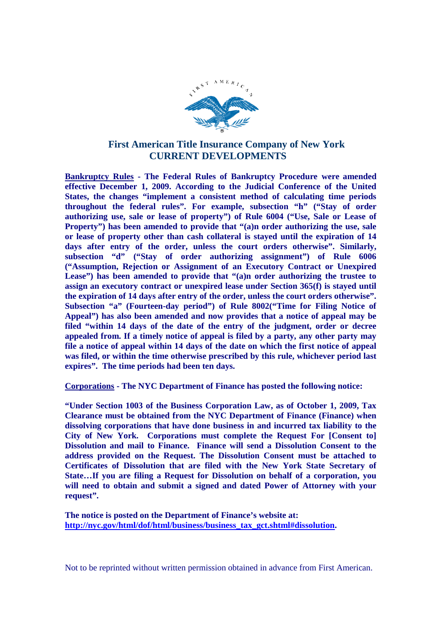

## **First American Title Insurance Company of New York CURRENT DEVELOPMENTS**

**Bankruptcy Rules - The Federal Rules of Bankruptcy Procedure were amended effective December 1, 2009. According to the Judicial Conference of the United States, the changes "implement a consistent method of calculating time periods throughout the federal rules". For example, subsection "h" ("Stay of order authorizing use, sale or lease of property") of Rule 6004 ("Use, Sale or Lease of Property") has been amended to provide that "(a)n order authorizing the use, sale or lease of property other than cash collateral is stayed until the expiration of 14 days after entry of the order, unless the court orders otherwise". Similarly, subsection "d" ("Stay of order authorizing assignment") of Rule 6006 ("Assumption, Rejection or Assignment of an Executory Contract or Unexpired Lease") has been amended to provide that "(a)n order authorizing the trustee to assign an executory contract or unexpired lease under Section 365(f) is stayed until the expiration of 14 days after entry of the order, unless the court orders otherwise". Subsection "a" (Fourteen-day period") of Rule 8002("Time for Filing Notice of Appeal") has also been amended and now provides that a notice of appeal may be filed "within 14 days of the date of the entry of the judgment, order or decree appealed from. If a timely notice of appeal is filed by a party, any other party may file a notice of appeal within 14 days of the date on which the first notice of appeal was filed, or within the time otherwise prescribed by this rule, whichever period last expires". The time periods had been ten days.**

**Corporations - The NYC Department of Finance has posted the following notice:**

**"Under Section 1003 of the Business Corporation Law, as of October 1, 2009, Tax Clearance must be obtained from the NYC Department of Finance (Finance) when dissolving corporations that have done business in and incurred tax liability to the City of New York. Corporations must complete the Request For [Consent to] Dissolution and mail to Finance. Finance will send a Dissolution Consent to the address provided on the Request. The Dissolution Consent must be attached to Certificates of Dissolution that are filed with the New York State Secretary of State…If you are filing a Request for Dissolution on behalf of a corporation, you will need to obtain and submit a signed and dated Power of Attorney with your request".**

**The notice is posted on the Department of Finance's website at: http://nyc.gov/html/dof/html/business/business\_tax\_gct.shtml#dissolution.**

Not to be reprinted without written permission obtained in advance from First American.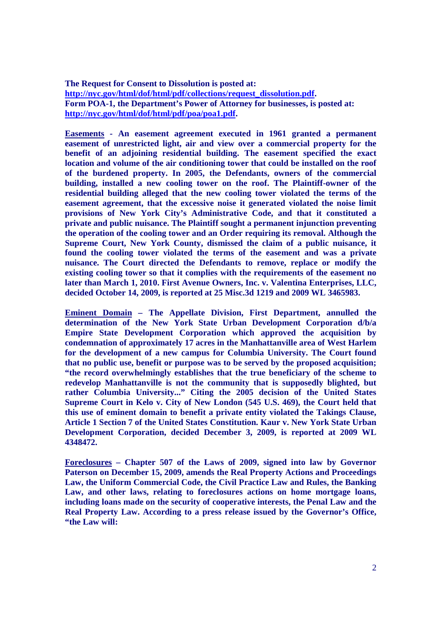**The Request for Consent to Dissolution is posted at: http://nyc.gov/html/dof/html/pdf/collections/request\_dissolution.pdf. Form POA-1, the Department's Power of Attorney for businesses, is posted at: http://nyc.gov/html/dof/html/pdf/poa/poa1.pdf.**

**Easements - An easement agreement executed in 1961 granted a permanent easement of unrestricted light, air and view over a commercial property for the benefit of an adjoining residential building. The easement specified the exact location and volume of the air conditioning tower that could be installed on the roof of the burdened property. In 2005, the Defendants, owners of the commercial building, installed a new cooling tower on the roof. The Plaintiff-owner of the residential building alleged that the new cooling tower violated the terms of the easement agreement, that the excessive noise it generated violated the noise limit provisions of New York City's Administrative Code, and that it constituted a private and public nuisance. The Plaintiff sought a permanent injunction preventing the operation of the cooling tower and an Order requiring its removal. Although the Supreme Court, New York County, dismissed the claim of a public nuisance, it found the cooling tower violated the terms of the easement and was a private nuisance. The Court directed the Defendants to remove, replace or modify the existing cooling tower so that it complies with the requirements of the easement no later than March 1, 2010. First Avenue Owners, Inc. v. Valentina Enterprises, LLC, decided October 14, 2009, is reported at 25 Misc.3d 1219 and 2009 WL 3465983.**

**Eminent Domain – The Appellate Division, First Department, annulled the determination of the New York State Urban Development Corporation d/b/a Empire State Development Corporation which approved the acquisition by condemnation of approximately 17 acres in the Manhattanville area of West Harlem for the development of a new campus for Columbia University. The Court found that no public use, benefit or purpose was to be served by the proposed acquisition; "the record overwhelmingly establishes that the true beneficiary of the scheme to redevelop Manhattanville is not the community that is supposedly blighted, but rather Columbia University..." Citing the 2005 decision of the United States Supreme Court in Kelo v. City of New London (545 U.S. 469), the Court held that this use of eminent domain to benefit a private entity violated the Takings Clause, Article 1 Section 7 of the United States Constitution. Kaur v. New York State Urban Development Corporation, decided December 3, 2009, is reported at 2009 WL 4348472.**

**Foreclosures – Chapter 507 of the Laws of 2009, signed into law by Governor Paterson on December 15, 2009, amends the Real Property Actions and Proceedings Law, the Uniform Commercial Code, the Civil Practice Law and Rules, the Banking Law, and other laws, relating to foreclosures actions on home mortgage loans, including loans made on the security of cooperative interests, the Penal Law and the Real Property Law. According to a press release issued by the Governor's Office, "the Law will:**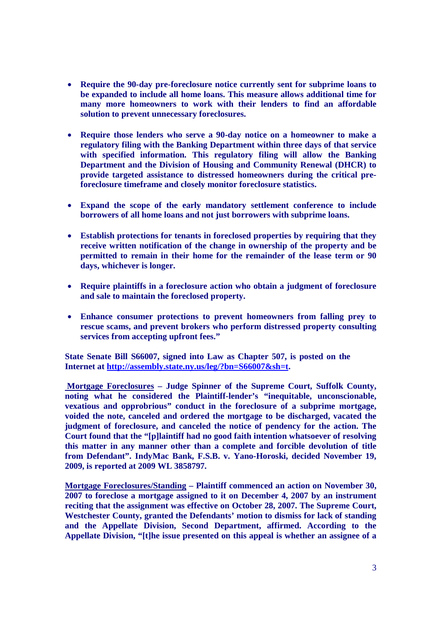- **Require the 90-day pre-foreclosure notice currently sent for subprime loans to be expanded to include all home loans. This measure allows additional time for many more homeowners to work with their lenders to find an affordable solution to prevent unnecessary foreclosures.**
- **Require those lenders who serve a 90-day notice on a homeowner to make a regulatory filing with the Banking Department within three days of that service with specified information. This regulatory filing will allow the Banking Department and the Division of Housing and Community Renewal (DHCR) to provide targeted assistance to distressed homeowners during the critical preforeclosure timeframe and closely monitor foreclosure statistics.**
- **Expand the scope of the early mandatory settlement conference to include borrowers of all home loans and not just borrowers with subprime loans.**
- **Establish protections for tenants in foreclosed properties by requiring that they receive written notification of the change in ownership of the property and be permitted to remain in their home for the remainder of the lease term or 90 days, whichever is longer.**
- **Require plaintiffs in a foreclosure action who obtain a judgment of foreclosure and sale to maintain the foreclosed property.**
- **Enhance consumer protections to prevent homeowners from falling prey to rescue scams, and prevent brokers who perform distressed property consulting services from accepting upfront fees."**

**State Senate Bill S66007, signed into Law as Chapter 507, is posted on the Internet at http://assembly.state.ny.us/leg/?bn=S66007&sh=t.**

**Mortgage Foreclosures – Judge Spinner of the Supreme Court, Suffolk County, noting what he considered the Plaintiff-lender's "inequitable, unconscionable, vexatious and opprobrious" conduct in the foreclosure of a subprime mortgage, voided the note, canceled and ordered the mortgage to be discharged, vacated the judgment of foreclosure, and canceled the notice of pendency for the action. The Court found that the "[p]laintiff had no good faith intention whatsoever of resolving this matter in any manner other than a complete and forcible devolution of title from Defendant". IndyMac Bank, F.S.B. v. Yano-Horoski, decided November 19, 2009, is reported at 2009 WL 3858797.**

**Mortgage Foreclosures/Standing – Plaintiff commenced an action on November 30, 2007 to foreclose a mortgage assigned to it on December 4, 2007 by an instrument reciting that the assignment was effective on October 28, 2007. The Supreme Court, Westchester County, granted the Defendants' motion to dismiss for lack of standing and the Appellate Division, Second Department, affirmed. According to the Appellate Division, "[t]he issue presented on this appeal is whether an assignee of a**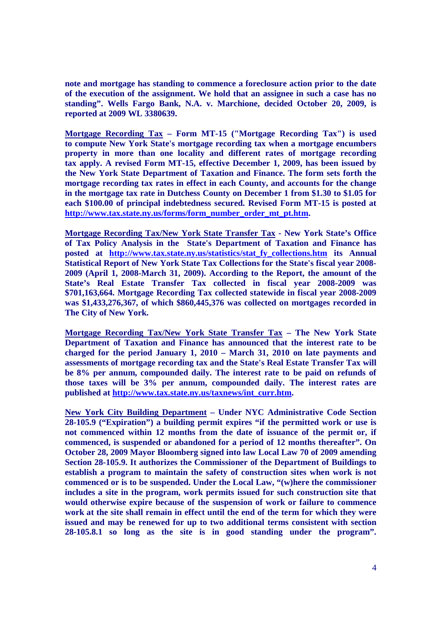**note and mortgage has standing to commence a foreclosure action prior to the date of the execution of the assignment. We hold that an assignee in such a case has no standing". Wells Fargo Bank, N.A. v. Marchione, decided October 20, 2009, is reported at 2009 WL 3380639.**

**Mortgage Recording Tax – Form MT-15 ("Mortgage Recording Tax") is used to compute New York State's mortgage recording tax when a mortgage encumbers property in more than one locality and different rates of mortgage recording tax apply. A revised Form MT-15, effective December 1, 2009, has been issued by the New York State Department of Taxation and Finance. The form sets forth the mortgage recording tax rates in effect in each County, and accounts for the change in the mortgage tax rate in Dutchess County on December 1 from \$1.30 to \$1.05 for each \$100.00 of principal indebtedness secured. Revised Form MT-15 is posted at http://www.tax.state.ny.us/forms/form\_number\_order\_mt\_pt.htm.**

**Mortgage Recording Tax/New York State Transfer Tax - New York State's Office of Tax Policy Analysis in the State's Department of Taxation and Finance has posted at http://www.tax.state.ny.us/statistics/stat\_fy\_collections.htm its Annual Statistical Report of New York State Tax Collections for the State's fiscal year 2008- 2009 (April 1, 2008-March 31, 2009). According to the Report, the amount of the State's Real Estate Transfer Tax collected in fiscal year 2008-2009 was \$701,163,664. Mortgage Recording Tax collected statewide in fiscal year 2008-2009 was \$1,433,276,367, of which \$860,445,376 was collected on mortgages recorded in The City of New York.**

**Mortgage Recording Tax/New York State Transfer Tax – The New York State Department of Taxation and Finance has announced that the interest rate to be charged for the period January 1, 2010 – March 31, 2010 on late payments and assessments of mortgage recording tax and the State's Real Estate Transfer Tax will be 8% per annum, compounded daily. The interest rate to be paid on refunds of those taxes will be 3% per annum, compounded daily. The interest rates are published at http://www.tax.state.ny.us/taxnews/int\_curr.htm.**

**New York City Building Department – Under NYC Administrative Code Section 28-105.9 ("Expiration") a building permit expires "if the permitted work or use is not commenced within 12 months from the date of issuance of the permit or, if commenced, is suspended or abandoned for a period of 12 months thereafter". On October 28, 2009 Mayor Bloomberg signed into law Local Law 70 of 2009 amending Section 28-105.9. It authorizes the Commissioner of the Department of Buildings to establish a program to maintain the safety of construction sites when work is not commenced or is to be suspended. Under the Local Law, "(w)here the commissioner includes a site in the program, work permits issued for such construction site that would otherwise expire because of the suspension of work or failure to commence work at the site shall remain in effect until the end of the term for which they were issued and may be renewed for up to two additional terms consistent with section 28-105.8.1 so long as the site is in good standing under the program".**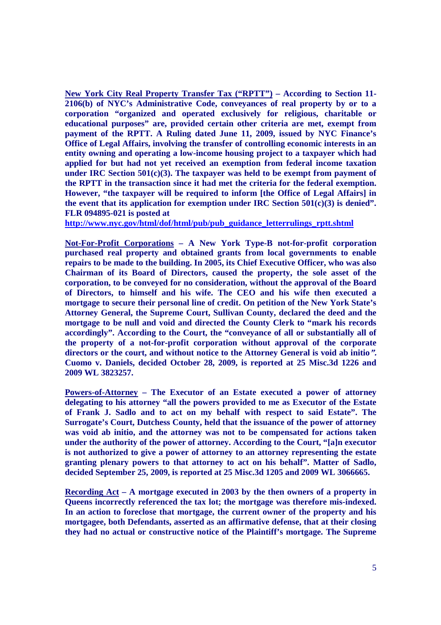**New York City Real Property Transfer Tax ("RPTT") – According to Section 11- 2106(b) of NYC's Administrative Code, conveyances of real property by or to a corporation "organized and operated exclusively for religious, charitable or educational purposes" are, provided certain other criteria are met, exempt from payment of the RPTT. A Ruling dated June 11, 2009, issued by NYC Finance's Office of Legal Affairs, involving the transfer of controlling economic interests in an entity owning and operating a low-income housing project to a taxpayer which had applied for but had not yet received an exemption from federal income taxation under IRC Section 501(c)(3). The taxpayer was held to be exempt from payment of the RPTT in the transaction since it had met the criteria for the federal exemption. However, "the taxpayer will be required to inform [the Office of Legal Affairs] in the event that its application for exemption under IRC Section 501(c)(3) is denied". FLR 094895-021 is posted at**

**http://www.nyc.gov/html/dof/html/pub/pub\_guidance\_letterrulings\_rptt.shtml**

**Not-For-Profit Corporations – A New York Type-B not-for-profit corporation purchased real property and obtained grants from local governments to enable repairs to be made to the building. In 2005, its Chief Executive Officer, who was also Chairman of its Board of Directors, caused the property, the sole asset of the corporation, to be conveyed for no consideration, without the approval of the Board of Directors, to himself and his wife. The CEO and his wife then executed a mortgage to secure their personal line of credit. On petition of the New York State's Attorney General, the Supreme Court, Sullivan County, declared the deed and the mortgage to be null and void and directed the County Clerk to "mark his records accordingly". According to the Court, the "conveyance of all or substantially all of the property of a not-for-profit corporation without approval of the corporate directors or the court, and without notice to the Attorney General is void ab initio". Cuomo v. Daniels, decided October 28, 2009, is reported at 25 Misc.3d 1226 and 2009 WL 3823257.**

**Powers-of-Attorney – The Executor of an Estate executed a power of attorney delegating to his attorney "all the powers provided to me as Executor of the Estate of Frank J. Sadlo and to act on my behalf with respect to said Estate". The Surrogate's Court, Dutchess County, held that the issuance of the power of attorney was void ab initio, and the attorney was not to be compensated for actions taken under the authority of the power of attorney. According to the Court, "[a]n executor is not authorized to give a power of attorney to an attorney representing the estate granting plenary powers to that attorney to act on his behalf". Matter of Sadlo, decided September 25, 2009, is reported at 25 Misc.3d 1205 and 2009 WL 3066665.**

**Recording Act – A mortgage executed in 2003 by the then owners of a property in Queens incorrectly referenced the tax lot; the mortgage was therefore mis-indexed. In an action to foreclose that mortgage, the current owner of the property and his mortgagee, both Defendants, asserted as an affirmative defense, that at their closing they had no actual or constructive notice of the Plaintiff's mortgage. The Supreme**